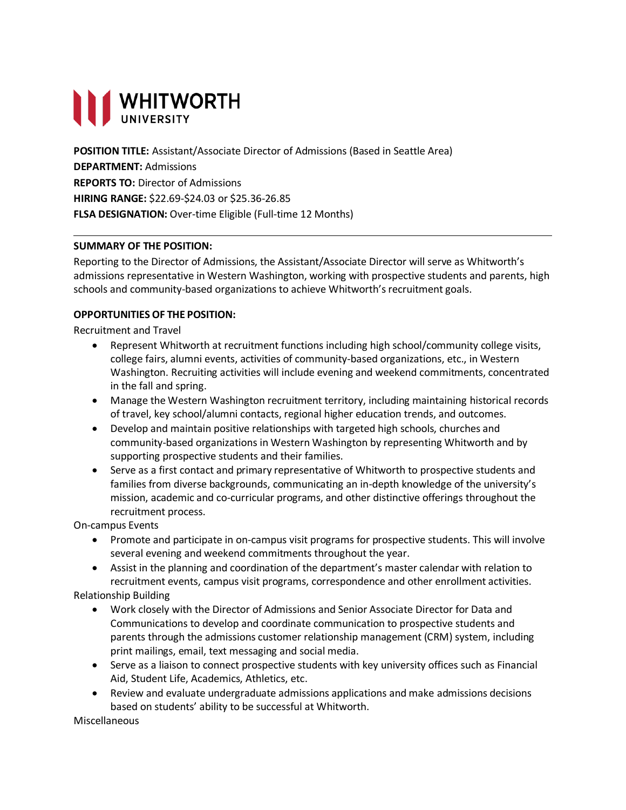# **THE WHITWORTH**

**POSITION TITLE:** Assistant/Associate Director of Admissions (Based in Seattle Area) **DEPARTMENT:** Admissions **REPORTS TO:** Director of Admissions **HIRING RANGE:** \$22.69-\$24.03 or \$25.36-26.85 **FLSA DESIGNATION:** Over-time Eligible (Full-time 12 Months)

## **SUMMARY OF THE POSITION:**

Reporting to the Director of Admissions, the Assistant/Associate Director will serve as Whitworth's admissions representative in Western Washington, working with prospective students and parents, high schools and community-based organizations to achieve Whitworth's recruitment goals.

#### **OPPORTUNITIES OF THE POSITION:**

Recruitment and Travel

- Represent Whitworth at recruitment functions including high school/community college visits, college fairs, alumni events, activities of community-based organizations, etc., in Western Washington. Recruiting activities will include evening and weekend commitments, concentrated in the fall and spring.
- Manage the Western Washington recruitment territory, including maintaining historical records of travel, key school/alumni contacts, regional higher education trends, and outcomes.
- Develop and maintain positive relationships with targeted high schools, churches and community-based organizations in Western Washington by representing Whitworth and by supporting prospective students and their families.
- Serve as a first contact and primary representative of Whitworth to prospective students and families from diverse backgrounds, communicating an in-depth knowledge of the university's mission, academic and co-curricular programs, and other distinctive offerings throughout the recruitment process.

On-campus Events

- Promote and participate in on-campus visit programs for prospective students. This will involve several evening and weekend commitments throughout the year.
- Assist in the planning and coordination of the department's master calendar with relation to recruitment events, campus visit programs, correspondence and other enrollment activities.

Relationship Building

- Work closely with the Director of Admissions and Senior Associate Director for Data and Communications to develop and coordinate communication to prospective students and parents through the admissions customer relationship management (CRM) system, including print mailings, email, text messaging and social media.
- Serve as a liaison to connect prospective students with key university offices such as Financial Aid, Student Life, Academics, Athletics, etc.
- Review and evaluate undergraduate admissions applications and make admissions decisions based on students' ability to be successful at Whitworth.

Miscellaneous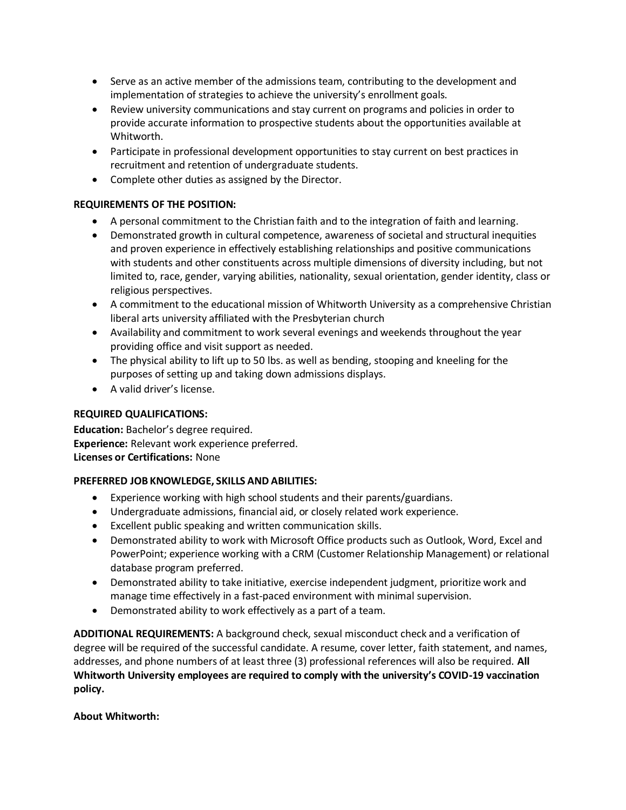- Serve as an active member of the admissions team, contributing to the development and implementation of strategies to achieve the university's enrollment goals.
- Review university communications and stay current on programs and policies in order to provide accurate information to prospective students about the opportunities available at Whitworth.
- Participate in professional development opportunities to stay current on best practices in recruitment and retention of undergraduate students.
- Complete other duties as assigned by the Director.

## **REQUIREMENTS OF THE POSITION:**

- A personal commitment to the Christian faith and to the integration of faith and learning.
- Demonstrated growth in cultural competence, awareness of societal and structural inequities and proven experience in effectively establishing relationships and positive communications with students and other constituents across multiple dimensions of diversity including, but not limited to, race, gender, varying abilities, nationality, sexual orientation, gender identity, class or religious perspectives.
- A commitment to the educational mission of Whitworth University as a comprehensive Christian liberal arts university affiliated with the Presbyterian church
- Availability and commitment to work several evenings and weekends throughout the year providing office and visit support as needed.
- The physical ability to lift up to 50 lbs. as well as bending, stooping and kneeling for the purposes of setting up and taking down admissions displays.
- A valid driver's license.

## **REQUIRED QUALIFICATIONS:**

**Education:** Bachelor's degree required. **Experience:** Relevant work experience preferred. **Licenses or Certifications:** None

## **PREFERRED JOB KNOWLEDGE, SKILLS AND ABILITIES:**

- Experience working with high school students and their parents/guardians.
- Undergraduate admissions, financial aid, or closely related work experience.
- Excellent public speaking and written communication skills.
- Demonstrated ability to work with Microsoft Office products such as Outlook, Word, Excel and PowerPoint; experience working with a CRM (Customer Relationship Management) or relational database program preferred.
- Demonstrated ability to take initiative, exercise independent judgment, prioritize work and manage time effectively in a fast-paced environment with minimal supervision.
- Demonstrated ability to work effectively as a part of a team.

**ADDITIONAL REQUIREMENTS:** A background check, sexual misconduct check and a verification of degree will be required of the successful candidate. A resume, cover letter, faith statement, and names, addresses, and phone numbers of at least three (3) professional references will also be required. **All Whitworth University employees are required to comply with the university's COVID-19 vaccination policy.**

#### **About Whitworth:**